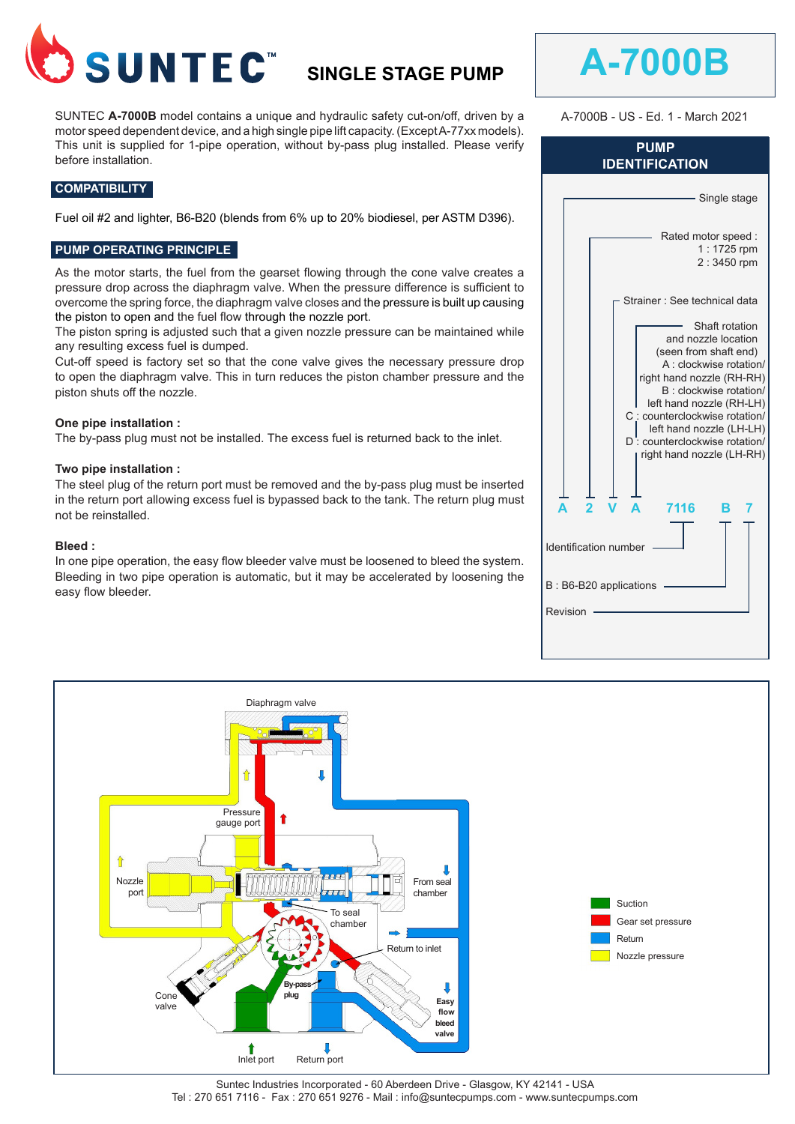

# **SINGLE STAGE PUMP**

SUNTEC **A-7000B** model contains a unique and hydraulic safety cut-on/off, driven by a motor speed dependent device, and a high single pipe lift capacity. (Except A-77xx models). This unit is supplied for 1-pipe operation, without by-pass plug installed. Please verify before installation.

## **COMPATIBILITY**

Fuel oil #2 and lighter, B6-B20 (blends from 6% up to 20% biodiesel, per ASTM D396).

## **PUMP OPERATING PRINCIPLE**

As the motor starts, the fuel from the gearset flowing through the cone valve creates a pressure drop across the diaphragm valve. When the pressure difference is sufficient to overcome the spring force, the diaphragm valve closes and the pressure is built up causing the piston to open and the fuel flow through the nozzle port.

The piston spring is adjusted such that a given nozzle pressure can be maintained while any resulting excess fuel is dumped.

Cut-off speed is factory set so that the cone valve gives the necessary pressure drop to open the diaphragm valve. This in turn reduces the piston chamber pressure and the piston shuts off the nozzle.

#### **One pipe installation :**

The by-pass plug must not be installed. The excess fuel is returned back to the inlet.

#### **Two pipe installation :**

The steel plug of the return port must be removed and the by-pass plug must be inserted in the return port allowing excess fuel is bypassed back to the tank. The return plug must not be reinstalled.

#### **Bleed :**

In one pipe operation, the easy flow bleeder valve must be loosened to bleed the system. Bleeding in two pipe operation is automatic, but it may be accelerated by loosening the easy flow bleeder.

| <b>PUMP</b><br><b>IDENTIFICATION</b> |                                                                                                                                                                                                                                                                                                           |  |  |  |  |  |  |
|--------------------------------------|-----------------------------------------------------------------------------------------------------------------------------------------------------------------------------------------------------------------------------------------------------------------------------------------------------------|--|--|--|--|--|--|
|                                      | Single stage                                                                                                                                                                                                                                                                                              |  |  |  |  |  |  |
|                                      | Rated motor speed :<br>1:1725 rpm<br>2:3450 rpm                                                                                                                                                                                                                                                           |  |  |  |  |  |  |
|                                      | Strainer : See technical data                                                                                                                                                                                                                                                                             |  |  |  |  |  |  |
|                                      | Shaft rotation<br>and nozzle location<br>(seen from shaft end)<br>A : clockwise rotation/<br>right hand nozzle (RH-RH)<br>B : clockwise rotation/<br>left hand nozzle (RH-LH)<br>C : counterclockwise rotation/<br>left hand nozzle (LH-LH)<br>D: counterclockwise rotation/<br>right hand nozzle (LH-RH) |  |  |  |  |  |  |
|                                      | 7116                                                                                                                                                                                                                                                                                                      |  |  |  |  |  |  |
| Identification number                |                                                                                                                                                                                                                                                                                                           |  |  |  |  |  |  |
| B: B6-B20 applications               |                                                                                                                                                                                                                                                                                                           |  |  |  |  |  |  |
|                                      | Revision                                                                                                                                                                                                                                                                                                  |  |  |  |  |  |  |
|                                      |                                                                                                                                                                                                                                                                                                           |  |  |  |  |  |  |

**A-7000B**

A-7000B - US - Ed. 1 - March 2021